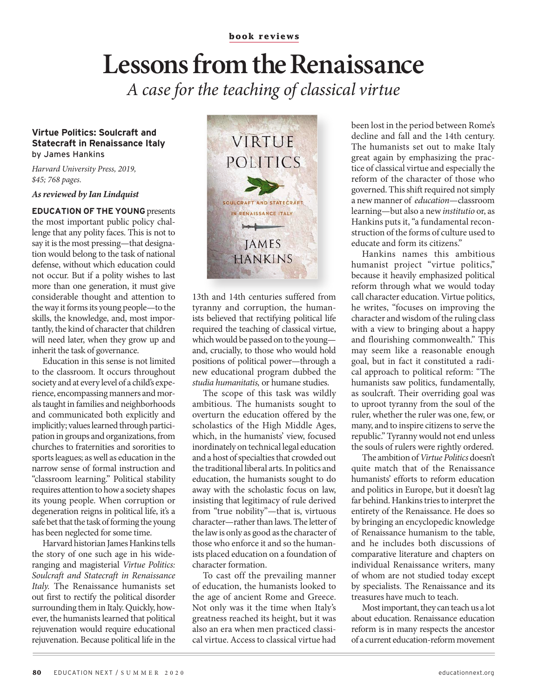## **Lessons from the Renaissance** *A case for the teaching of classical virtue*

## **Virtue Politics: Soulcraft and Statecraft in Renaissance Italy** by James Hankins

*Harvard University Press, 2019, \$45; 768 pages.*

*As reviewed by Ian Lindquist*

**EDUCATION OF THE YOUNG** presents the most important public policy challenge that any polity faces. This is not to say it is the most pressing—that designation would belong to the task of national defense, without which education could not occur. But if a polity wishes to last more than one generation, it must give considerable thought and attention to the way it forms its young people—to the skills, the knowledge, and, most importantly, the kind of character that children will need later, when they grow up and inherit the task of governance.

Education in this sense is not limited to the classroom. It occurs throughout society and at every level of a child's experience, encompassing manners and morals taught in families and neighborhoods and communicated both explicitly and implicitly; values learned through participation in groups and organizations, from churches to fraternities and sororities to sports leagues; as well as education in the narrow sense of formal instruction and "classroom learning." Political stability requires attention to how a society shapes its young people. When corruption or degeneration reigns in political life, it's a safe bet that the task of forming the young has been neglected for some time.

Harvard historian James Hankins tells the story of one such age in his wideranging and magisterial *Virtue Politics: Soulcraft and Statecraft in Renaissance Italy.* The Renaissance humanists set out first to rectify the political disorder surrounding them in Italy. Quickly, however, the humanists learned that political rejuvenation would require educational rejuvenation. Because political life in the



13th and 14th centuries suffered from tyranny and corruption, the humanists believed that rectifying political life required the teaching of classical virtue, which would be passed on to the young and, crucially, to those who would hold positions of political power—through a new educational program dubbed the *studia humanitatis,* or humane studies.

The scope of this task was wildly ambitious. The humanists sought to overturn the education offered by the scholastics of the High Middle Ages, which, in the humanists' view, focused inordinately on technical legal education and a host of specialties that crowded out the traditional liberal arts. In politics and education, the humanists sought to do away with the scholastic focus on law, insisting that legitimacy of rule derived from "true nobility"—that is, virtuous character—rather than laws. The letter of the law is only as good as the character of those who enforce it and so the humanists placed education on a foundation of character formation.

To cast off the prevailing manner of education, the humanists looked to the age of ancient Rome and Greece. Not only was it the time when Italy's greatness reached its height, but it was also an era when men practiced classical virtue. Access to classical virtue had

been lost in the period between Rome's decline and fall and the 14th century. The humanists set out to make Italy great again by emphasizing the practice of classical virtue and especially the reform of the character of those who governed. This shift required not simply a new manner of *education*—classroom learning—but also a new *institutio* or, as Hankins puts it, "a fundamental reconstruction of the forms of culture used to educate and form its citizens."

Hankins names this ambitious humanist project "virtue politics," because it heavily emphasized political reform through what we would today call character education. Virtue politics, he writes, "focuses on improving the character and wisdom of the ruling class with a view to bringing about a happy and flourishing commonwealth." This may seem like a reasonable enough goal, but in fact it constituted a radical approach to political reform: "The humanists saw politics, fundamentally, as soulcraft. Their overriding goal was to uproot tyranny from the soul of the ruler, whether the ruler was one, few, or many, and to inspire citizens to serve the republic." Tyranny would not end unless the souls of rulers were rightly ordered.

The ambition of *Virtue Politics* doesn't quite match that of the Renaissance humanists' efforts to reform education and politics in Europe, but it doesn't lag far behind. Hankins tries to interpret the entirety of the Renaissance. He does so by bringing an encyclopedic knowledge of Renaissance humanism to the table, and he includes both discussions of comparative literature and chapters on individual Renaissance writers, many of whom are not studied today except by specialists. The Renaissance and its treasures have much to teach.

Most important, they can teach us a lot about education. Renaissance education reform is in many respects the ancestor of a current education-reform movement